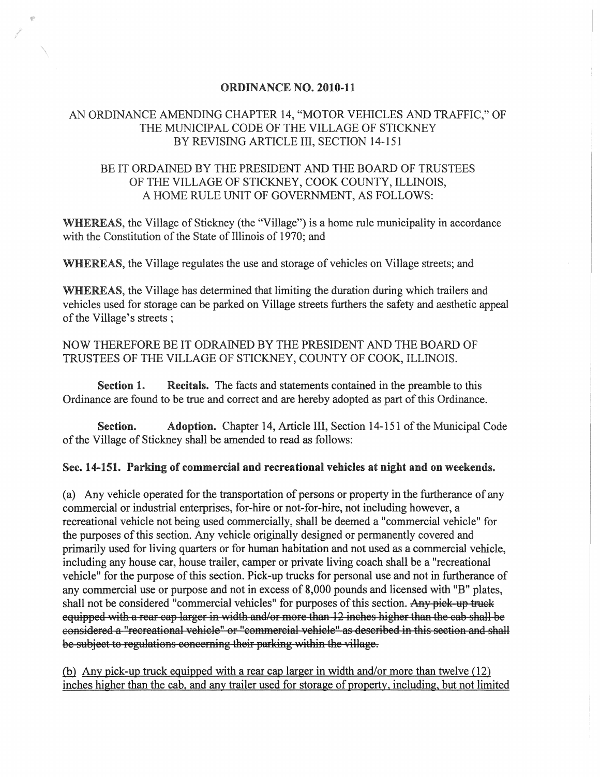## ORDINANCE NO. 2010-11

## AN ORDINANCE AMENDING CHAPTER 14, "MOTOR VEHICLES AND TRAFFIC," OF THE MUNICIPAL CODE OF THE VILLAGE OF STICKNEY BY REVISING ARTICLE III, SECTION 14-151

## BE IT ORDAINED BY THE PRESIDENT AND THE BOARD OF TRUSTEES OF THE VILLAGE OF STICKNEY, COOK COUNTY, ILLINOIS, A HOME RULE UNIT OF GOVERNMENT, AS FOLLOWS:

WHEREAS, the Village of Stickney (the "Village") is a home rule municipality in accordance with the Constitution of the State of Illinois of 1970; and

WHEREAS, the Village regulates the use and storage of vehicles on Village streets; and

WHEREAS, the Village has determined that limiting the duration during which trailers and vehicles used for storage can be parked on Village streets furthers the safety and aesthetic appeal of the Village's streets;

NOW THEREFORE BE IT ODRAINED BY THE PRESIDENT AND THE BOARD OF TRUSTEES OF THE VILLAGE OF STICKNEY, COUNTY OF COOK, ILLINOIS.

Section 1. Recitals. The facts and statements contained in the preamble to this Ordinance are found to be true and correct and are hereby adopted as part of this Ordinance.

Section. Adoption. Chapter 14, Article III, Section 14-151 of the Municipal Code of the Village of Stickney shall be amended to read as follows:

Sec. 14~151. Parking of commercial and recreational vehicles at night and on weekends.

( a) Any vehicle operated for the transportation of persons or property in the furtherance of any commercial or industrial enterprises, for-hire or not-for-hire, not including however, a recreational vehicle not being used commercially, shall be deemed a "commercial vehicle" for the purposes of this section. Any vehicle originally designed or permanently covered and primarily used for living quarters or for human habitation and not used as a commercial vehicle, including any house car, house trailer, camper or private living coach shall be a "recreational vehicle" for the purpose of this section. Pick-up trucks for personal use and not in furtherance of any commercial use or purpose and not in excess of 8,000 pounds and licensed with "B" plates, shall not be considered "commercial vehicles" for purposes of this section. Any pick-up truck equipped with a rear cap larger in width and/or more than 12 inches higher than the cab shall be considered a "recreational vehicle" or "commercial vehicle" as described in this section and shall be subject to regulations concerning their parking within the village.

(b) Any pick-up truck equipped with a rear cap larger in width and/or more than twelve  $(12)$ inches higher than the cab, and any trailer used for storage of property, including, but not limited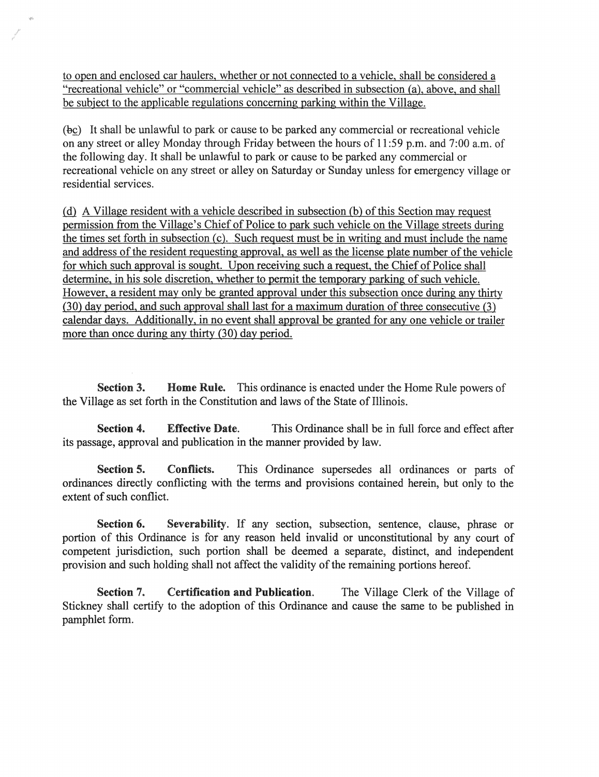to open and enclosed car haulers, whether or not connected to a vehicle, shall be considered a "recreational vehicle" or "commercial vehicle" as described in subsection (a), above, and shall be subject to the applicable regulations concerning parking within the Village.

(b£) It shall be unlawful to park or cause to be parked any commercial or recreational vehicle on any street or alley Monday through Friday between the hours of 11 :59 p.m. and 7:00 a.m. of the following day. It shall be unlawful to park or cause to be parked any commercial or recreational vehicle on any street or alley on Saturday or Sunday unless for emergency village or residential services.

@ A Village resident with a vehicle described in subsection (b) of this Section may request permission from the Village's Chief of Police to park such vehicle on the Village streets during the times set forth in subsection (c). Such request must be in writing and must include the name and address of the resident requesting approval, as well as the license plate number of the vehicle for which such approval is sought. Upon receiving such a request, the Chief of Police shall determine, in his sole discretion, whether to permit the temporary parking of such vehicle. However, a resident may only be granted approval under this subsection once during any thirty (30) day period, and such approval shall last for a maximum duration of three consecutive (3) calendar days. Additionally, in no event shall approval be granted for anyone vehicle or trailer more than once during any thirty (30) day period.

Section 3. Home Rule. This ordinance is enacted under the Home Rule powers of the Village as set forth in the Constitution and laws of the State of Illinois.

Section 4. Effective Date. This Ordinance shall be in full force and effect after its passage, approval and publication in the manner provided by law.

Section 5. Conflicts. This Ordinance supersedes all ordinances or parts of ordinances directly conflicting with the terms and provisions contained herein, but only to the extent of such conflict.

Section 6. Severability. If any section, subsection, sentence, clause, phrase or portion of this Ordinance is for any reason held invalid or unconstitutional by any court of competent jurisdiction, such portion shall be deemed a separate, distinct, and independent provision and such holding shall not affect the validity of the remaining portions hereof.

Section 7. Certification and Publication. The Village Clerk of the Village of Stickney shall certify to the adoption of this Ordinance and cause the same to be published in pamphlet form.